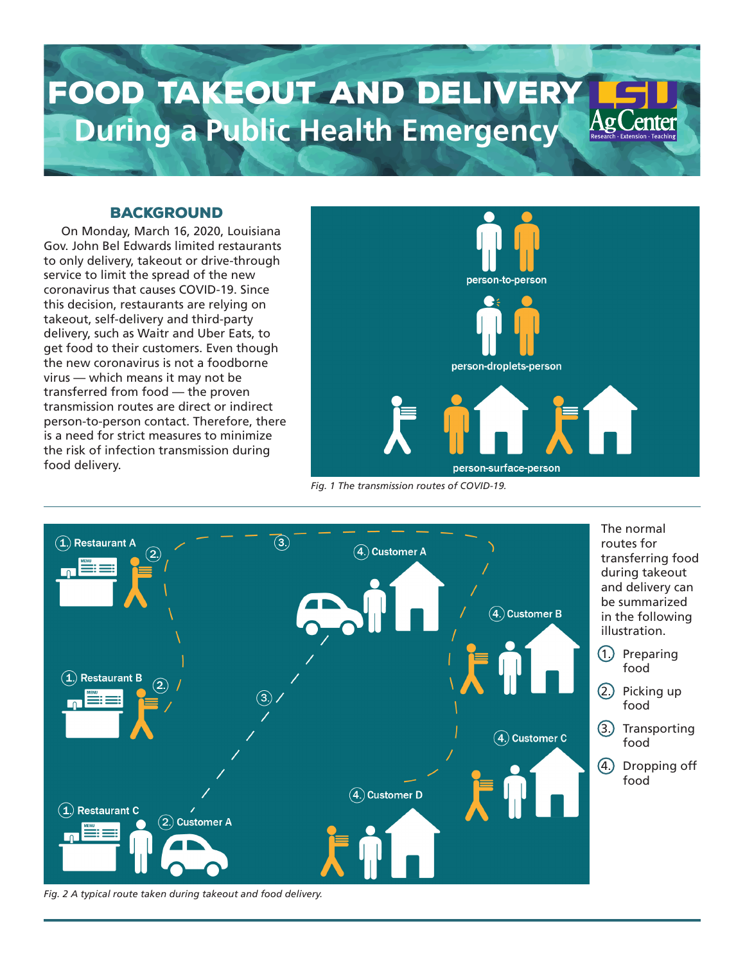# Food Takeout and Delivery **During a Public Health Emergency**

## **BACKGROUND**

On Monday, March 16, 2020, Louisiana Gov. John Bel Edwards limited restaurants to only delivery, takeout or drive-through service to limit the spread of the new coronavirus that causes COVID-19. Since this decision, restaurants are relying on takeout, self-delivery and third-party delivery, such as Waitr and Uber Eats, to get food to their customers. Even though the new coronavirus is not a foodborne virus — which means it may not be transferred from food — the proven transmission routes are direct or indirect person-to-person contact. Therefore, there is a need for strict measures to minimize the risk of infection transmission during food delivery.





*Fig. 2 A typical route taken during takeout and food delivery.*